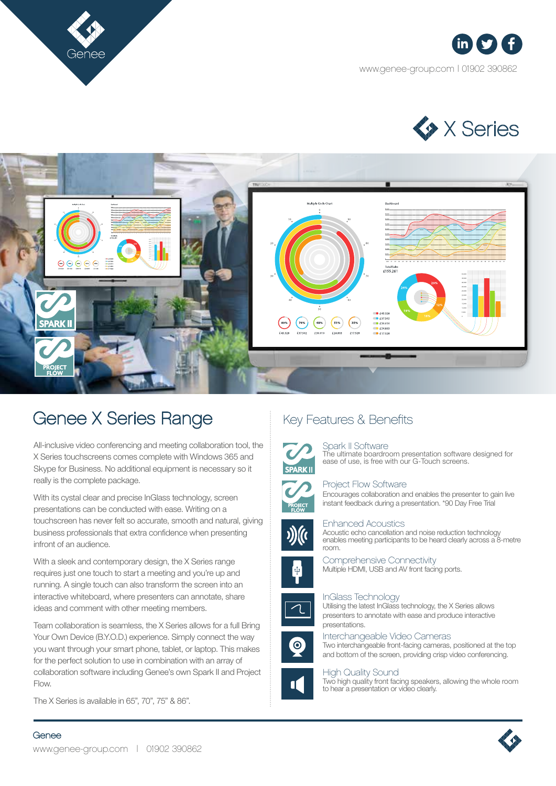





# Genee X Series Range

All-inclusive video conferencing and meeting collaboration tool, the X Series touchscreens comes complete with Windows 365 and Skype for Business. No additional equipment is necessary so it really is the complete package.

With its cystal clear and precise InGlass technology, screen presentations can be conducted with ease. Writing on a touchscreen has never felt so accurate, smooth and natural, giving business professionals that extra confidence when presenting infront of an audience.

With a sleek and contemporary design, the X Series range requires just one touch to start a meeting and you're up and running. A single touch can also transform the screen into an interactive whiteboard, where presenters can annotate, share ideas and comment with other meeting members.

Team collaboration is seamless, the X Series allows for a full Bring Your Own Device (B.Y.O.D.) experience. Simply connect the way you want through your smart phone, tablet, or laptop. This makes for the perfect solution to use in combination with an array of collaboration software including Genee's own Spark II and Project Flow.

The X Series is available in 65", 70", 75" & 86".

## Key Features & Benefits

## Spark II Software

The ultimate boardroom presentation software designed for ease of use, is free with our G-Touch screens.



### Project Flow Software

Encourages collaboration and enables the presenter to gain live instant feedback during a presentation. \*90 Day Free Trial



Enhanced Acoustics

Acoustic echo cancellation and noise reduction technology enables meeting participants to be heard clearly across a 8-metre room.



Comprehensive Connectivity Multiple HDMI, USB and AV front facing ports.



InGlass Technology

Utilising the latest InGlass technology, the X Series allows presenters to annotate with ease and produce interactive presentations.



Interchangeable Video Cameras Two interchangeable front-facing cameras, positioned at the top and bottom of the screen, providing crisp video conferencing.



#### High Quality Sound

Two high quality front facing speakers, allowing the whole room to hear a presentation or video clearly.